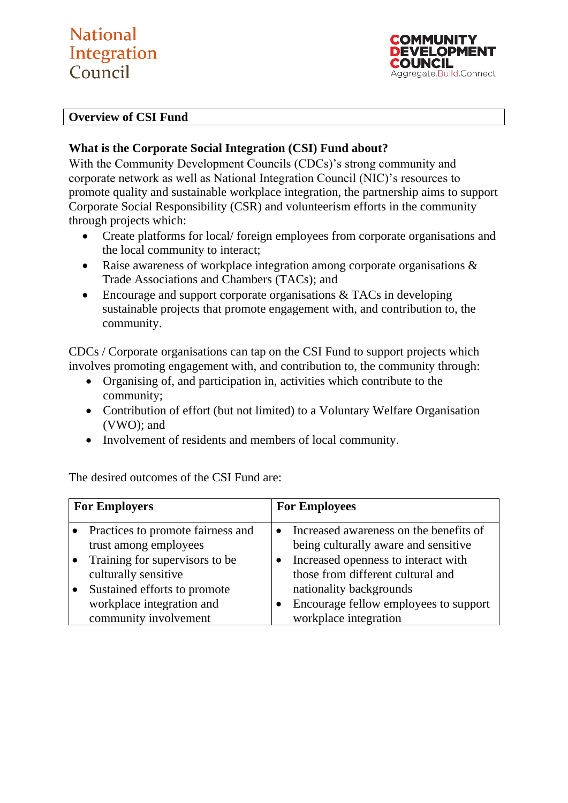# **National** Integration Council

**COMMUNITY** NEVELOPMENT COUNCIL Aggregate.Build.Connect

### **Overview of CSI Fund**

## **What is the Corporate Social Integration (CSI) Fund about?**

With the Community Development Councils (CDCs)'s strong community and corporate network as well as National Integration Council (NIC)'s resources to promote quality and sustainable workplace integration, the partnership aims to support Corporate Social Responsibility (CSR) and volunteerism efforts in the community through projects which:

- Create platforms for local/ foreign employees from corporate organisations and the local community to interact;
- Raise awareness of workplace integration among corporate organisations  $\&$ Trade Associations and Chambers (TACs); and
- Encourage and support corporate organisations & TACs in developing sustainable projects that promote engagement with, and contribution to, the community.

CDCs / Corporate organisations can tap on the CSI Fund to support projects which involves promoting engagement with, and contribution to, the community through:

- Organising of, and participation in, activities which contribute to the community;
- Contribution of effort (but not limited) to a Voluntary Welfare Organisation (VWO); and
- Involvement of residents and members of local community.

The desired outcomes of the CSI Fund are:

| <b>For Employers</b> |                                                            | <b>For Employees</b> |                                                                                |
|----------------------|------------------------------------------------------------|----------------------|--------------------------------------------------------------------------------|
|                      | Practices to promote fairness and<br>trust among employees |                      | Increased awareness on the benefits of<br>being culturally aware and sensitive |
|                      | Training for supervisors to be                             |                      | Increased openness to interact with                                            |
|                      | culturally sensitive<br>Sustained efforts to promote       |                      | those from different cultural and<br>nationality backgrounds                   |
|                      | workplace integration and<br>community involvement         |                      | Encourage fellow employees to support<br>workplace integration                 |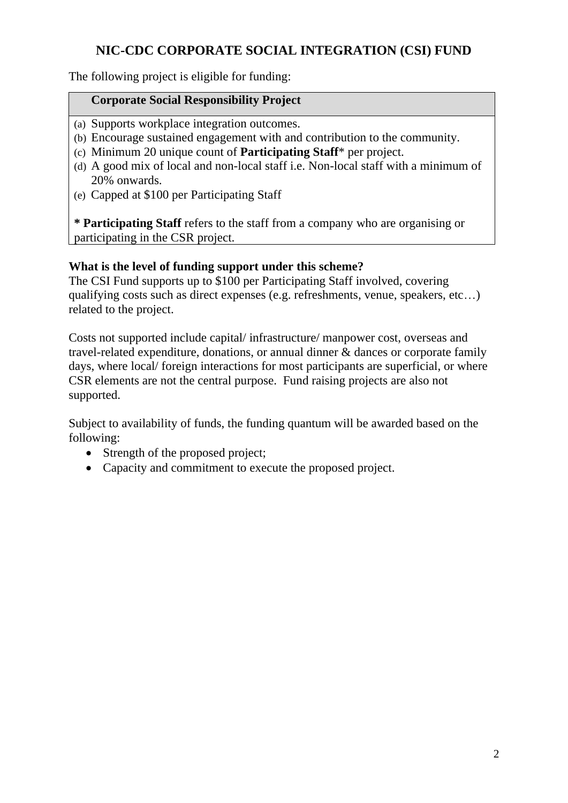The following project is eligible for funding:

### **Corporate Social Responsibility Project**

- (a) Supports workplace integration outcomes.
- (b) Encourage sustained engagement with and contribution to the community.
- (c) Minimum 20 unique count of **Participating Staff**\* per project.
- (d) A good mix of local and non-local staff i.e. Non-local staff with a minimum of 20% onwards.
- (e) Capped at \$100 per Participating Staff

**\* Participating Staff** refers to the staff from a company who are organising or participating in the CSR project.

### **What is the level of funding support under this scheme?**

The CSI Fund supports up to \$100 per Participating Staff involved, covering qualifying costs such as direct expenses (e.g. refreshments, venue, speakers, etc…) related to the project.

Costs not supported include capital/ infrastructure/ manpower cost, overseas and travel-related expenditure, donations, or annual dinner & dances or corporate family days, where local/ foreign interactions for most participants are superficial, or where CSR elements are not the central purpose. Fund raising projects are also not supported.

Subject to availability of funds, the funding quantum will be awarded based on the following:

- Strength of the proposed project;
- Capacity and commitment to execute the proposed project.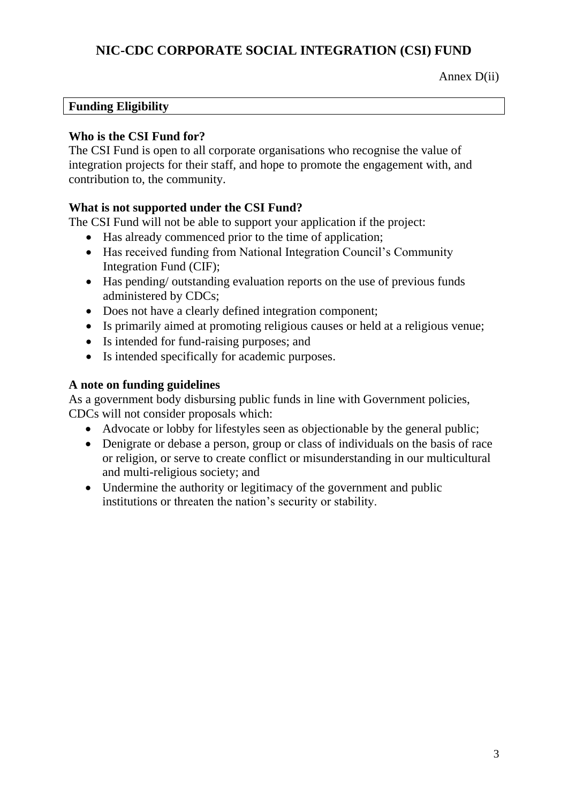Annex D(ii)

### **Funding Eligibility**

### **Who is the CSI Fund for?**

The CSI Fund is open to all corporate organisations who recognise the value of integration projects for their staff, and hope to promote the engagement with, and contribution to, the community.

### **What is not supported under the CSI Fund?**

The CSI Fund will not be able to support your application if the project:

- Has already commenced prior to the time of application;
- Has received funding from National Integration Council's Community Integration Fund (CIF);
- Has pending/ outstanding evaluation reports on the use of previous funds administered by CDCs;
- Does not have a clearly defined integration component;
- Is primarily aimed at promoting religious causes or held at a religious venue;
- Is intended for fund-raising purposes; and
- Is intended specifically for academic purposes.

### **A note on funding guidelines**

As a government body disbursing public funds in line with Government policies, CDCs will not consider proposals which:

- Advocate or lobby for lifestyles seen as objectionable by the general public;
- Denigrate or debase a person, group or class of individuals on the basis of race or religion, or serve to create conflict or misunderstanding in our multicultural and multi-religious society; and
- Undermine the authority or legitimacy of the government and public institutions or threaten the nation's security or stability.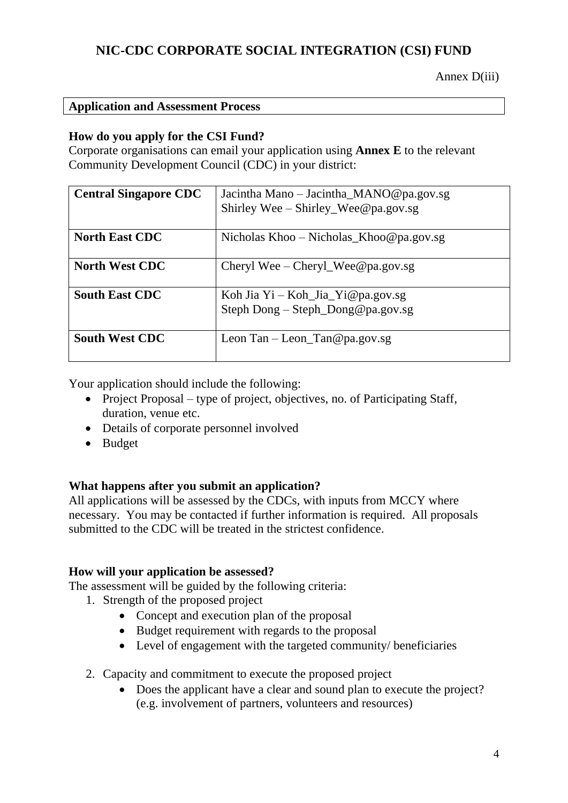### **Application and Assessment Process**

### **How do you apply for the CSI Fund?**

Corporate organisations can email your application using **Annex E** to the relevant Community Development Council (CDC) in your district:

| <b>Central Singapore CDC</b> | Jacintha Mano – Jacintha MANO@pa.gov.sg<br>Shirley Wee – Shirley Wee @pa.gov.sg |
|------------------------------|---------------------------------------------------------------------------------|
| <b>North East CDC</b>        | Nicholas Khoo – Nicholas Khoo@pa.gov.sg                                         |
| <b>North West CDC</b>        | Cheryl Wee – Cheryl Wee @pa.gov.sg                                              |
| <b>South East CDC</b>        | Koh Jia Yi – Koh Jia Yi@pa.gov.sg<br>Steph Dong – Steph Dong@pa.gov.sg          |
| <b>South West CDC</b>        | Leon Tan $-$ Leon Tan @ pa.gov.sg                                               |

Your application should include the following:

- Project Proposal type of project, objectives, no. of Participating Staff, duration, venue etc.
- Details of corporate personnel involved
- Budget

### **What happens after you submit an application?**

All applications will be assessed by the CDCs, with inputs from MCCY where necessary. You may be contacted if further information is required. All proposals submitted to the CDC will be treated in the strictest confidence.

### **How will your application be assessed?**

The assessment will be guided by the following criteria:

- 1. Strength of the proposed project
	- Concept and execution plan of the proposal
	- Budget requirement with regards to the proposal
	- Level of engagement with the targeted community/ beneficiaries
- 2. Capacity and commitment to execute the proposed project
	- Does the applicant have a clear and sound plan to execute the project? (e.g. involvement of partners, volunteers and resources)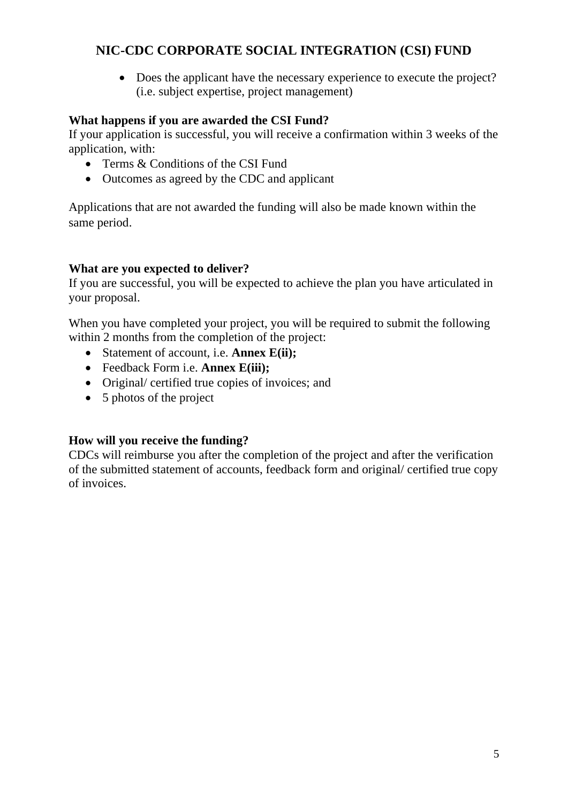• Does the applicant have the necessary experience to execute the project? (i.e. subject expertise, project management)

### **What happens if you are awarded the CSI Fund?**

If your application is successful, you will receive a confirmation within 3 weeks of the application, with:

- Terms & Conditions of the CSI Fund
- Outcomes as agreed by the CDC and applicant

Applications that are not awarded the funding will also be made known within the same period.

### **What are you expected to deliver?**

If you are successful, you will be expected to achieve the plan you have articulated in your proposal.

When you have completed your project, you will be required to submit the following within 2 months from the completion of the project:

- Statement of account, i.e. **Annex E(ii);**
- Feedback Form i.e. **Annex E(iii);**
- Original/ certified true copies of invoices; and
- 5 photos of the project

### **How will you receive the funding?**

CDCs will reimburse you after the completion of the project and after the verification of the submitted statement of accounts, feedback form and original/ certified true copy of invoices.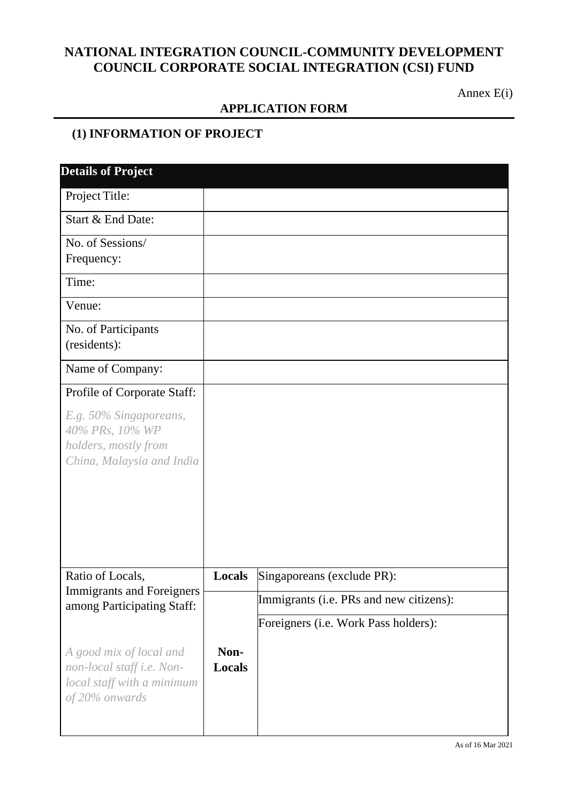## **NATIONAL INTEGRATION COUNCIL-COMMUNITY DEVELOPMENT COUNCIL CORPORATE SOCIAL INTEGRATION (CSI) FUND**

Annex E(i)

### **APPLICATION FORM**

## **(1) INFORMATION OF PROJECT**

| <b>Details of Project</b>                                                                            |                       |                                         |
|------------------------------------------------------------------------------------------------------|-----------------------|-----------------------------------------|
| Project Title:                                                                                       |                       |                                         |
| Start & End Date:                                                                                    |                       |                                         |
| No. of Sessions/                                                                                     |                       |                                         |
| Frequency:                                                                                           |                       |                                         |
| Time:                                                                                                |                       |                                         |
| Venue:                                                                                               |                       |                                         |
| No. of Participants                                                                                  |                       |                                         |
| (residents):                                                                                         |                       |                                         |
| Name of Company:                                                                                     |                       |                                         |
| Profile of Corporate Staff:                                                                          |                       |                                         |
| E.g. 50% Singaporeans,<br>40% PRs, 10% WP<br>holders, mostly from<br>China, Malaysia and India       |                       |                                         |
|                                                                                                      |                       |                                         |
| Ratio of Locals,<br><b>Immigrants and Foreigners</b>                                                 | Locals                | Singaporeans (exclude PR):              |
| among Participating Staff:                                                                           |                       | Immigrants (i.e. PRs and new citizens): |
|                                                                                                      |                       | Foreigners (i.e. Work Pass holders):    |
| A good mix of local and<br>non-local staff i.e. Non-<br>local staff with a minimum<br>of 20% onwards | Non-<br><b>Locals</b> |                                         |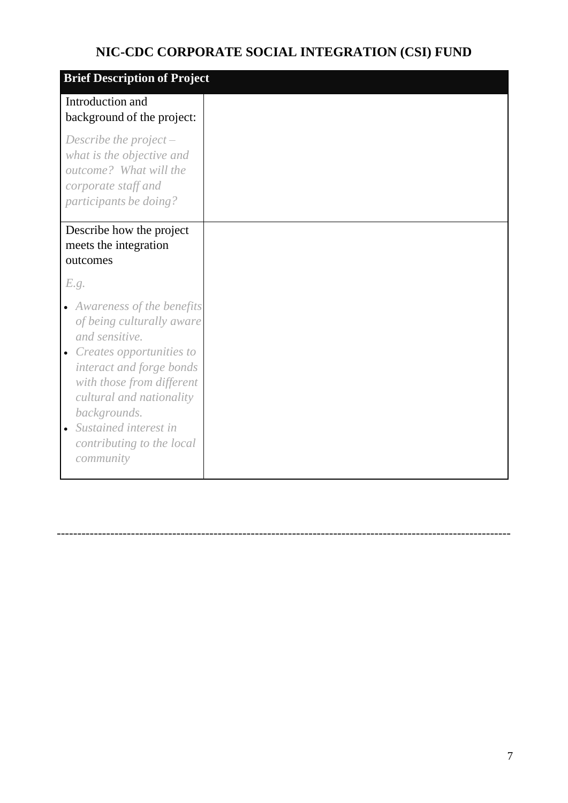| <b>Brief Description of Project</b>                                                                                                                                                                                                                                              |
|----------------------------------------------------------------------------------------------------------------------------------------------------------------------------------------------------------------------------------------------------------------------------------|
| Introduction and<br>background of the project:                                                                                                                                                                                                                                   |
| Describe the project $-$<br>what is the objective and<br>outcome? What will the<br>corporate staff and<br>participants be doing?                                                                                                                                                 |
| Describe how the project<br>meets the integration<br>outcomes                                                                                                                                                                                                                    |
| E.g.                                                                                                                                                                                                                                                                             |
| • Awareness of the benefits<br>of being culturally aware<br>and sensitive.<br>• Creates opportunities to<br>interact and forge bonds<br>with those from different<br>cultural and nationality<br>backgrounds.<br>Sustained interest in<br>contributing to the local<br>community |

--------------------------------------------------------------------------------------------------------------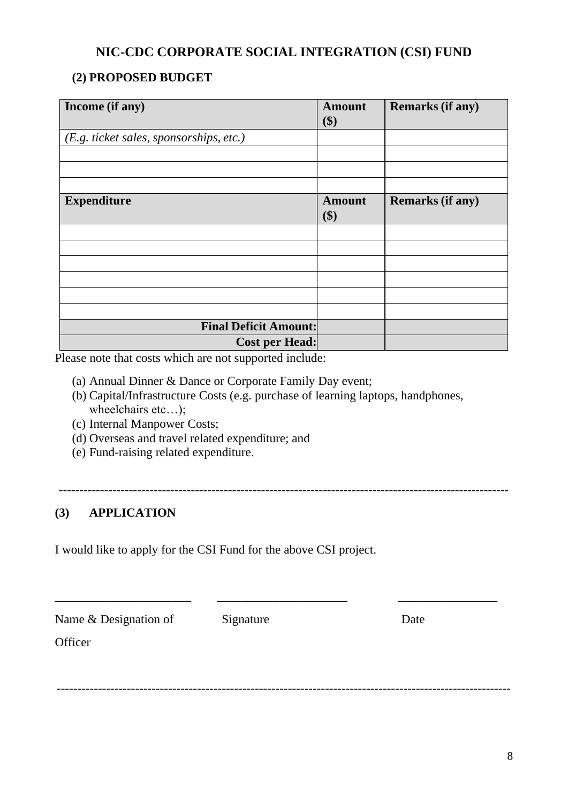## **(2) PROPOSED BUDGET**

| Income (if any)                         | <b>Amount</b><br>\$) | <b>Remarks (if any)</b> |
|-----------------------------------------|----------------------|-------------------------|
| (E.g. ticket sales, sponsorships, etc.) |                      |                         |
|                                         |                      |                         |
|                                         |                      |                         |
|                                         |                      |                         |
| <b>Expenditure</b>                      | <b>Amount</b><br>\$) | <b>Remarks (if any)</b> |
|                                         |                      |                         |
|                                         |                      |                         |
|                                         |                      |                         |
|                                         |                      |                         |
|                                         |                      |                         |
|                                         |                      |                         |
| <b>Final Deficit Amount:</b>            |                      |                         |
| <b>Cost per Head:</b>                   |                      |                         |

Please note that costs which are not supported include:

- (a) Annual Dinner & Dance or Corporate Family Day event;
- (b) Capital/Infrastructure Costs (e.g. purchase of learning laptops, handphones, wheelchairs etc…);
- (c) Internal Manpower Costs;
- (d) Overseas and travel related expenditure; and
- (e) Fund-raising related expenditure.

-------------------------------------------------------------------------------------------------------------

\_\_\_\_\_\_\_\_\_\_\_\_\_\_\_\_\_\_\_\_\_\_ \_\_\_\_\_\_\_\_\_\_\_\_\_\_\_\_\_\_\_\_\_ \_\_\_\_\_\_\_\_\_\_\_\_\_\_\_\_

--------------------------------------------------------------------------------------------------------------

## **(3) APPLICATION**

I would like to apply for the CSI Fund for the above CSI project.

Name & Designation of Signature Date

**Officer**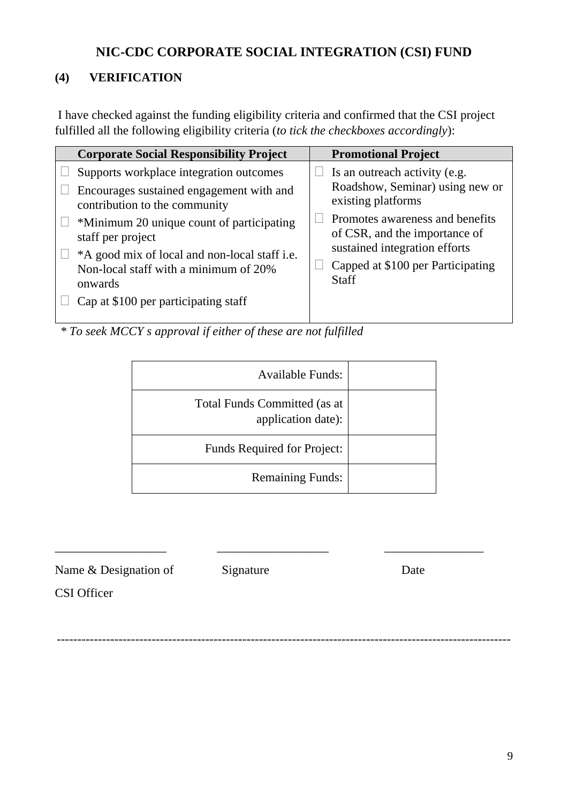## **(4) VERIFICATION**

I have checked against the funding eligibility criteria and confirmed that the CSI project fulfilled all the following eligibility criteria (*to tick the checkboxes accordingly*):

| <b>Corporate Social Responsibility Project</b>                                                                                                                                                                                                                                                                                      | <b>Promotional Project</b>                                                                                                                                                                                                                       |
|-------------------------------------------------------------------------------------------------------------------------------------------------------------------------------------------------------------------------------------------------------------------------------------------------------------------------------------|--------------------------------------------------------------------------------------------------------------------------------------------------------------------------------------------------------------------------------------------------|
| Supports workplace integration outcomes<br>Encourages sustained engagement with and<br>contribution to the community<br>*Minimum 20 unique count of participating<br>staff per project<br>*A good mix of local and non-local staff i.e.<br>Non-local staff with a minimum of 20%<br>onwards<br>Cap at \$100 per participating staff | Is an outreach activity (e.g.<br>Roadshow, Seminar) using new or<br>existing platforms<br>Promotes awareness and benefits<br>of CSR, and the importance of<br>sustained integration efforts<br>Capped at \$100 per Participating<br><b>Staff</b> |

*\* To seek MCCY s approval if either of these are not fulfilled*

| <b>Available Funds:</b>                                   |
|-----------------------------------------------------------|
| <b>Total Funds Committed (as at</b><br>application date): |
| Funds Required for Project:                               |
| <b>Remaining Funds:</b>                                   |

Name & Designation of Signature Date

\_\_\_\_\_\_\_\_\_\_\_\_\_\_\_\_\_\_ \_\_\_\_\_\_\_\_\_\_\_\_\_\_\_\_\_\_ \_\_\_\_\_\_\_\_\_\_\_\_\_\_\_\_

CSI Officer

--------------------------------------------------------------------------------------------------------------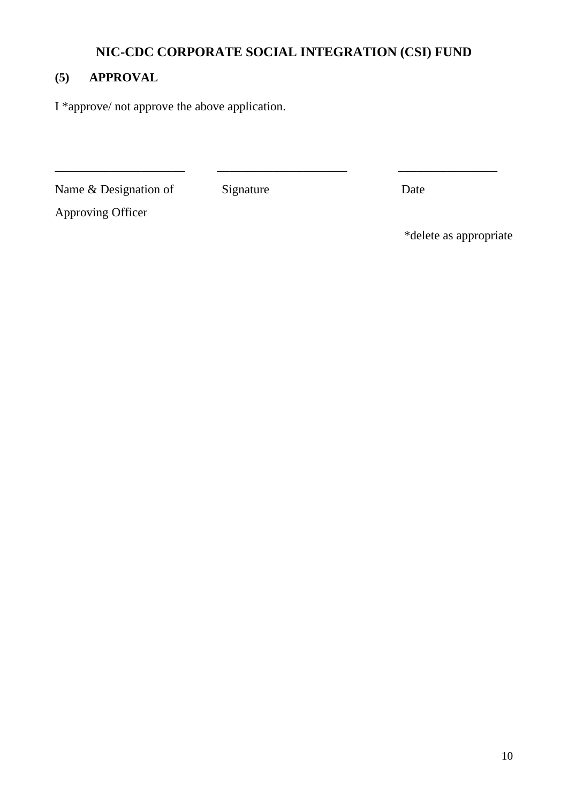\_\_\_\_\_\_\_\_\_\_\_\_\_\_\_\_\_\_\_\_\_ \_\_\_\_\_\_\_\_\_\_\_\_\_\_\_\_\_\_\_\_\_ \_\_\_\_\_\_\_\_\_\_\_\_\_\_\_\_

## **(5) APPROVAL**

I \*approve/ not approve the above application.

Name & Designation of Signature Date

Approving Officer

\*delete as appropriate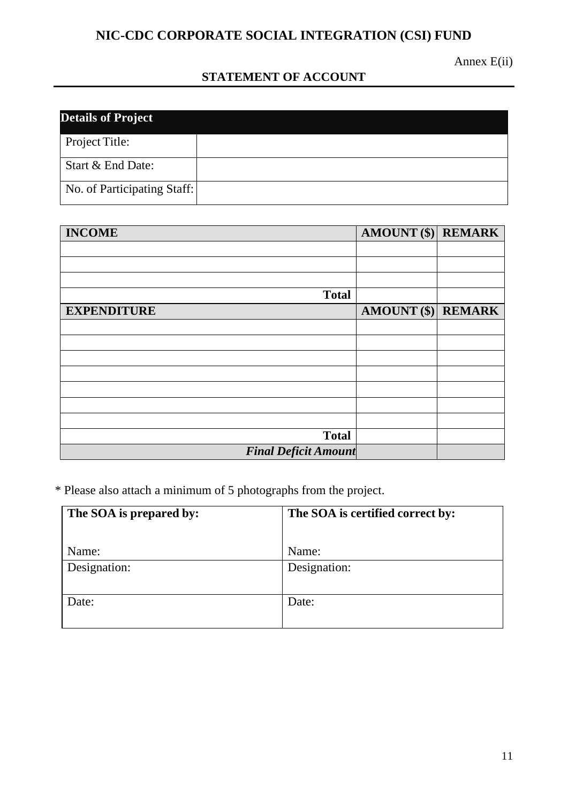Annex E(ii)

## **STATEMENT OF ACCOUNT**

| <b>Details of Project</b>   |  |  |
|-----------------------------|--|--|
| Project Title:              |  |  |
| Start & End Date:           |  |  |
| No. of Participating Staff: |  |  |

| <b>INCOME</b>               | AMOUNT (\$) REMARK   |  |
|-----------------------------|----------------------|--|
|                             |                      |  |
|                             |                      |  |
|                             |                      |  |
| <b>Total</b>                |                      |  |
| <b>EXPENDITURE</b>          | $AMOUNT$ (\$) REMARK |  |
|                             |                      |  |
|                             |                      |  |
|                             |                      |  |
|                             |                      |  |
|                             |                      |  |
|                             |                      |  |
|                             |                      |  |
| <b>Total</b>                |                      |  |
| <b>Final Deficit Amount</b> |                      |  |

\* Please also attach a minimum of 5 photographs from the project.

| The SOA is prepared by: | The SOA is certified correct by: |  |
|-------------------------|----------------------------------|--|
|                         |                                  |  |
| Name:                   | Name:                            |  |
| Designation:            | Designation:                     |  |
|                         |                                  |  |
| Date:                   | Date:                            |  |
|                         |                                  |  |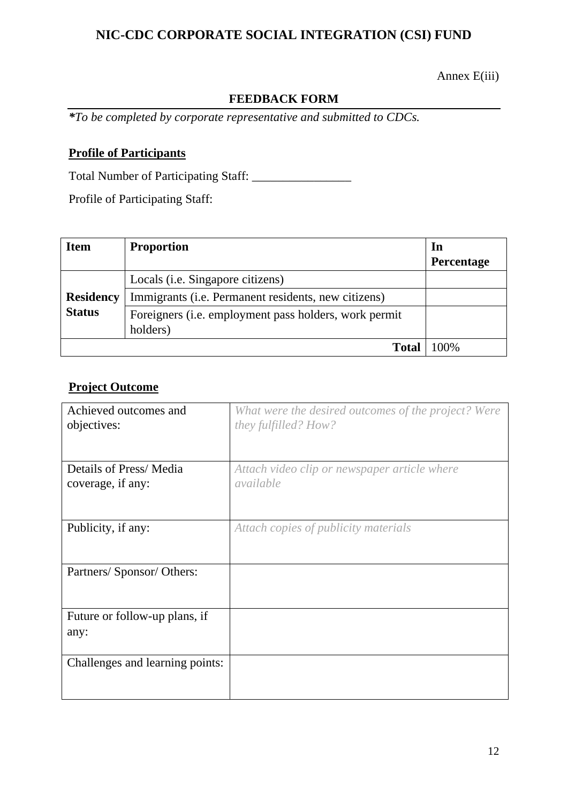Annex E(iii)

### **FEEDBACK FORM**

*\*To be completed by corporate representative and submitted to CDCs.*

## **Profile of Participants**

Total Number of Participating Staff: \_\_\_\_\_\_\_\_\_\_\_\_\_\_\_\_

Profile of Participating Staff:

| <b>Item</b>      | <b>Proportion</b>                                                         | In         |
|------------------|---------------------------------------------------------------------------|------------|
|                  |                                                                           | Percentage |
|                  | Locals ( <i>i.e.</i> Singapore citizens)                                  |            |
| <b>Residency</b> | Immigrants (i.e. Permanent residents, new citizens)                       |            |
| <b>Status</b>    | Foreigners ( <i>i.e.</i> employment pass holders, work permit<br>holders) |            |
|                  | <b>Total</b>                                                              | $100\%$    |

## **Project Outcome**

| Achieved outcomes and<br>objectives:        | What were the desired outcomes of the project? Were<br>they fulfilled? How? |
|---------------------------------------------|-----------------------------------------------------------------------------|
| Details of Press/Media<br>coverage, if any: | Attach video clip or newspaper article where<br>available                   |
| Publicity, if any:                          | Attach copies of publicity materials                                        |
| Partners/ Sponsor/ Others:                  |                                                                             |
| Future or follow-up plans, if<br>any:       |                                                                             |
| Challenges and learning points:             |                                                                             |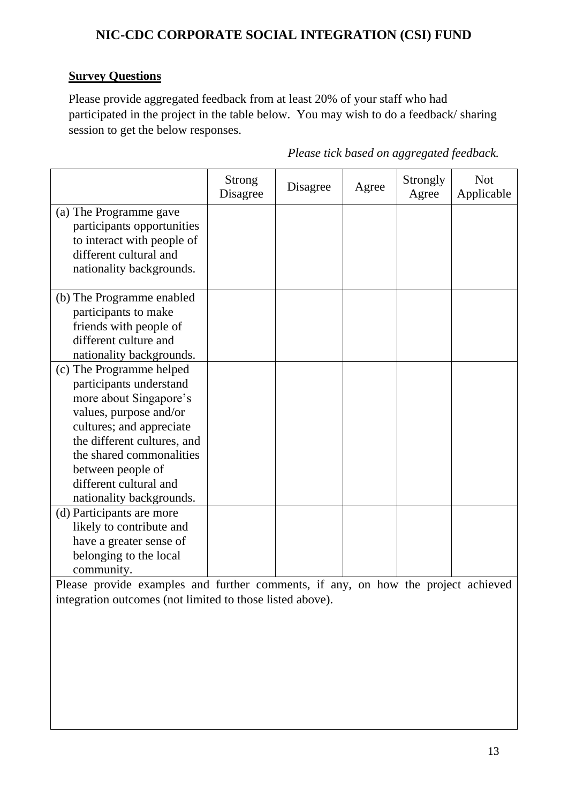### **Survey Questions**

Please provide aggregated feedback from at least 20% of your staff who had participated in the project in the table below. You may wish to do a feedback/ sharing session to get the below responses.

|                                                                                                                                                                                                                                                                           | Strong<br>Disagree | Disagree | Agree | Strongly<br>Agree | <b>Not</b><br>Applicable |
|---------------------------------------------------------------------------------------------------------------------------------------------------------------------------------------------------------------------------------------------------------------------------|--------------------|----------|-------|-------------------|--------------------------|
| (a) The Programme gave<br>participants opportunities<br>to interact with people of<br>different cultural and<br>nationality backgrounds.                                                                                                                                  |                    |          |       |                   |                          |
| (b) The Programme enabled<br>participants to make<br>friends with people of                                                                                                                                                                                               |                    |          |       |                   |                          |
| different culture and<br>nationality backgrounds.                                                                                                                                                                                                                         |                    |          |       |                   |                          |
| (c) The Programme helped<br>participants understand<br>more about Singapore's<br>values, purpose and/or<br>cultures; and appreciate<br>the different cultures, and<br>the shared commonalities<br>between people of<br>different cultural and<br>nationality backgrounds. |                    |          |       |                   |                          |
| (d) Participants are more<br>likely to contribute and<br>have a greater sense of<br>belonging to the local<br>community.                                                                                                                                                  |                    |          |       |                   |                          |

*Please tick based on aggregated feedback.*

Please provide examples and further comments, if any, on how the project achieved integration outcomes (not limited to those listed above).